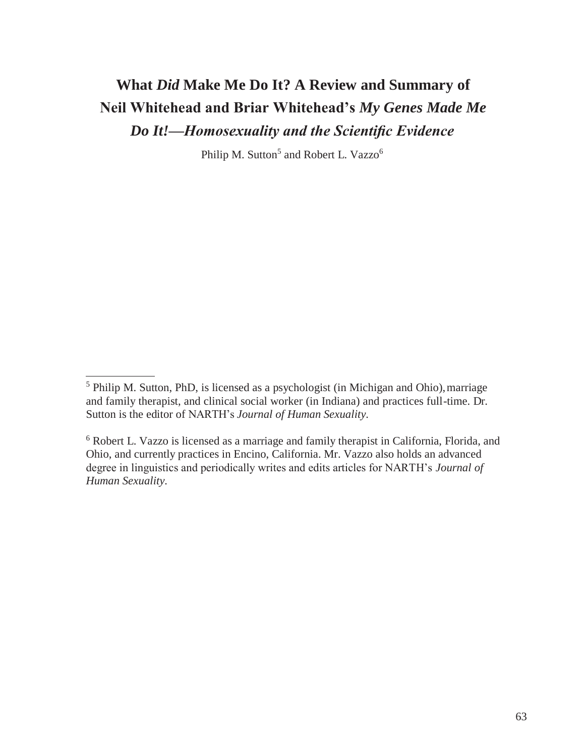# **What** *Did* **Make Me Do It? A Review and Summary of Neil Whitehead and Briar Whitehead's** *My Genes Made Me Do It!—Homosexuality and the Scientific Evidence*

Philip M. Sutton<sup>5</sup> and Robert L. Vazzo<sup>6</sup>

<sup>&</sup>lt;sup>5</sup> Philip M. Sutton, PhD, is licensed as a psychologist (in Michigan and Ohio), marriage and family therapist, and clinical social worker (in Indiana) and practices full-time. Dr. Sutton is the editor of NARTH's *Journal of Human Sexuality.*

<sup>6</sup> Robert L. Vazzo is licensed as a marriage and family therapist in California, Florida, and Ohio, and currently practices in Encino, California. Mr. Vazzo also holds an advanced degree in linguistics and periodically writes and edits articles for NARTH's *Journal of Human Sexuality.*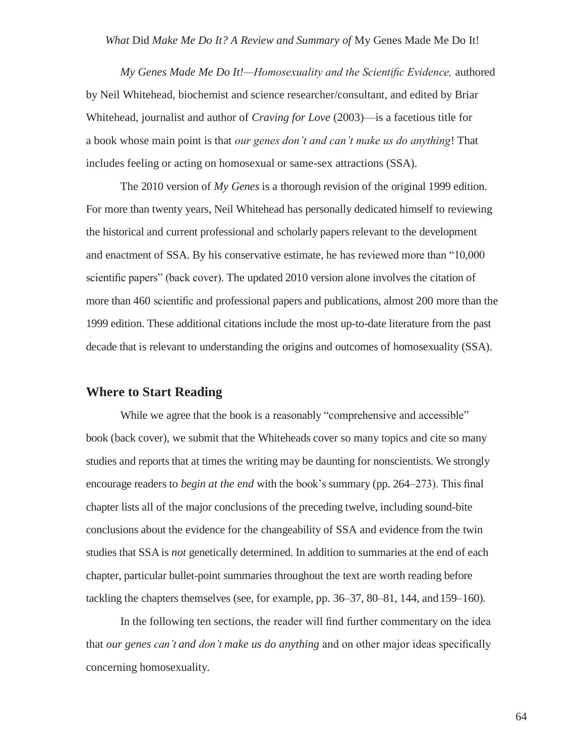*My Genes Made Me Do It!—Homosexuality and the Scientific Evidence,* authored by Neil Whitehead, biochemist and science researcher/consultant, and edited by Briar Whitehead, journalist and author of *Craving for Love* (2003)—is a facetious title for a book whose main point is that *our genes don't and can't make us do anything*! That includes feeling or acting on homosexual or same-sex attractions (SSA).

The 2010 version of *My Genes* is a thorough revision of the original 1999 edition. For more than twenty years, Neil Whitehead has personally dedicated himself to reviewing the historical and current professional and scholarly papers relevant to the development and enactment of SSA. By his conservative estimate, he has reviewed more than "10,000 scientific papers" (back cover). The updated 2010 version alone involves the citation of more than 460 scientific and professional papers and publications, almost 200 more than the 1999 edition. These additional citations include the most up-to-date literature from the past decade that is relevant to understanding the origins and outcomes of homosexuality (SSA).

### **Where to Start Reading**

While we agree that the book is a reasonably "comprehensive and accessible" book (back cover), we submit that the Whiteheads cover so many topics and cite so many studies and reports that at times the writing may be daunting for nonscientists. We strongly encourage readers to *begin at the end* with the book's summary (pp. 264–273). This final chapter lists all of the major conclusions of the preceding twelve, including sound-bite conclusions about the evidence for the changeability of SSA and evidence from the twin studies that SSA is *not* genetically determined. In addition to summaries at the end of each chapter, particular bullet-point summaries throughout the text are worth reading before tackling the chapters themselves (see, for example, pp. 36–37, 80–81, 144, and 159–160).

In the following ten sections, the reader will find further commentary on the idea that *our genes can't and don't make us do anything* and on other major ideas specifically concerning homosexuality.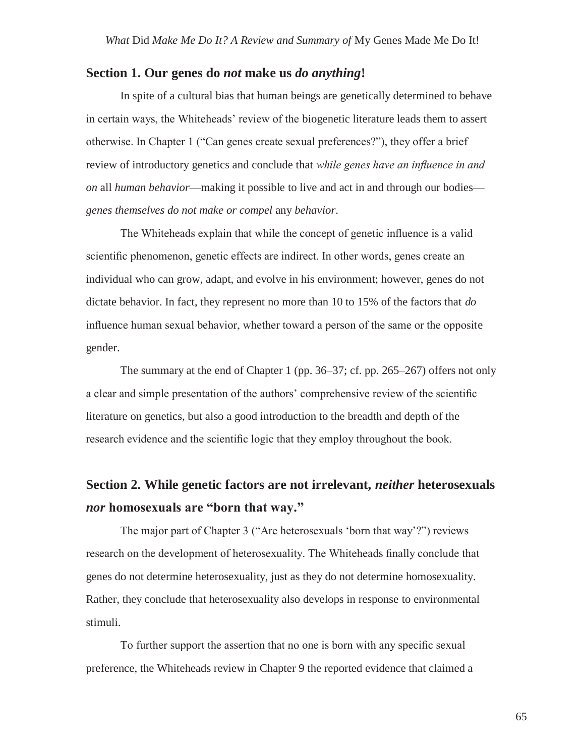### **Section 1. Our genes do** *not* **make us** *do anything***!**

In spite of a cultural bias that human beings are genetically determined to behave in certain ways, the Whiteheads' review of the biogenetic literature leads them to assert otherwise. In Chapter 1 ("Can genes create sexual preferences?"), they offer a brief review of introductory genetics and conclude that *while genes have an influence in and on* all *human behavior*—making it possible to live and act in and through our bodies *genes themselves do not make or compel* any *behavior*.

The Whiteheads explain that while the concept of genetic influence is a valid scientific phenomenon, genetic effects are indirect. In other words, genes create an individual who can grow, adapt, and evolve in his environment; however, genes do not dictate behavior. In fact, they represent no more than 10 to 15% of the factors that *do*  influence human sexual behavior, whether toward a person of the same or the opposite gender.

The summary at the end of Chapter 1 (pp. 36–37; cf. pp. 265–267) offers not only a clear and simple presentation of the authors' comprehensive review of the scientific literature on genetics, but also a good introduction to the breadth and depth of the research evidence and the scientific logic that they employ throughout the book.

## **Section 2. While genetic factors are not irrelevant,** *neither* **heterosexuals** *nor* **homosexuals are "born that way."**

The major part of Chapter 3 ("Are heterosexuals 'born that way'?") reviews research on the development of heterosexuality. The Whiteheads finally conclude that genes do not determine heterosexuality, just as they do not determine homosexuality. Rather, they conclude that heterosexuality also develops in response to environmental stimuli.

To further support the assertion that no one is born with any specific sexual preference, the Whiteheads review in Chapter 9 the reported evidence that claimed a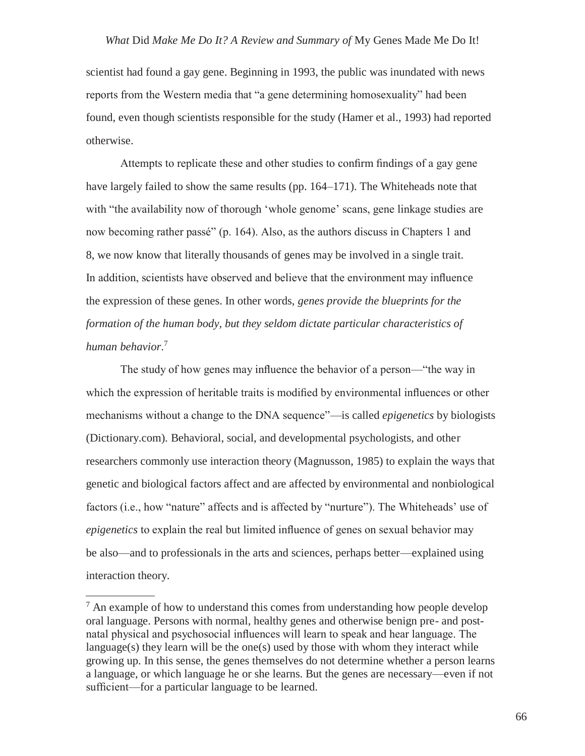scientist had found a gay gene. Beginning in 1993, the public was inundated with news reports from the Western media that "a gene determining homosexuality" had been found, even though scientists responsible for the study (Hamer et al., 1993) had reported otherwise.

Attempts to replicate these and other studies to confirm findings of a gay gene have largely failed to show the same results (pp. 164–171). The Whiteheads note that with "the availability now of thorough 'whole genome' scans, gene linkage studies are now becoming rather passé" (p. 164). Also, as the authors discuss in Chapters 1 and 8, we now know that literally thousands of genes may be involved in a single trait. In addition, scientists have observed and believe that the environment may influence the expression of these genes. In other words, *genes provide the blueprints for the formation of the human body, but they seldom dictate particular characteristics of human behavior*. 7

The study of how genes may influence the behavior of a person—"the way in which the expression of heritable traits is modified by environmental influences or other mechanisms without a change to the DNA sequence"—is called *epigenetics* by biologists (Dictionary.com)*.* Behavioral, social, and developmental psychologists, and other researchers commonly use interaction theory (Magnusson, 1985) to explain the ways that genetic and biological factors affect and are affected by environmental and nonbiological factors (i.e., how "nature" affects and is affected by "nurture"). The Whiteheads' use of *epigenetics* to explain the real but limited influence of genes on sexual behavior may be also—and to professionals in the arts and sciences, perhaps better—explained using interaction theory.

 $<sup>7</sup>$  An example of how to understand this comes from understanding how people develop</sup> oral language. Persons with normal, healthy genes and otherwise benign pre- and postnatal physical and psychosocial influences will learn to speak and hear language. The language(s) they learn will be the one(s) used by those with whom they interact while growing up. In this sense, the genes themselves do not determine whether a person learns a language, or which language he or she learns. But the genes are necessary—even if not sufficient—for a particular language to be learned.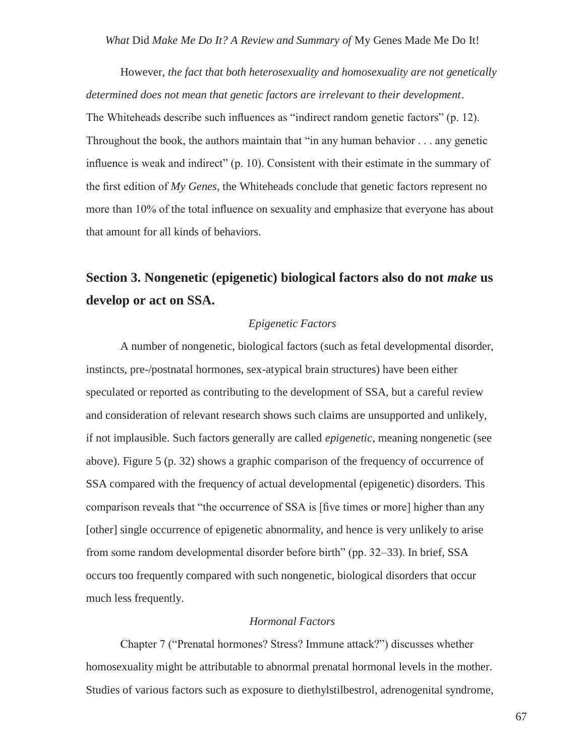However, *the fact that both heterosexuality and homosexuality are not genetically determined does not mean that genetic factors are irrelevant to their development*. The Whiteheads describe such influences as "indirect random genetic factors" (p. 12). Throughout the book, the authors maintain that "in any human behavior . . . any genetic influence is weak and indirect" (p. 10). Consistent with their estimate in the summary of the first edition of *My Genes*, the Whiteheads conclude that genetic factors represent no more than 10% of the total influence on sexuality and emphasize that everyone has about that amount for all kinds of behaviors.

## **Section 3. Nongenetic (epigenetic) biological factors also do not** *make* **us develop or act on SSA.**

#### *Epigenetic Factors*

A number of nongenetic, biological factors (such as fetal developmental disorder, instincts, pre-/postnatal hormones, sex-atypical brain structures) have been either speculated or reported as contributing to the development of SSA, but a careful review and consideration of relevant research shows such claims are unsupported and unlikely, if not implausible. Such factors generally are called *epigenetic*, meaning nongenetic (see above). Figure 5 (p. 32) shows a graphic comparison of the frequency of occurrence of SSA compared with the frequency of actual developmental (epigenetic) disorders. This comparison reveals that "the occurrence of SSA is [five times or more] higher than any [other] single occurrence of epigenetic abnormality, and hence is very unlikely to arise from some random developmental disorder before birth" (pp. 32–33). In brief, SSA occurs too frequently compared with such nongenetic, biological disorders that occur much less frequently.

#### *Hormonal Factors*

Chapter 7 ("Prenatal hormones? Stress? Immune attack?") discusses whether homosexuality might be attributable to abnormal prenatal hormonal levels in the mother. Studies of various factors such as exposure to diethylstilbestrol, adrenogenital syndrome,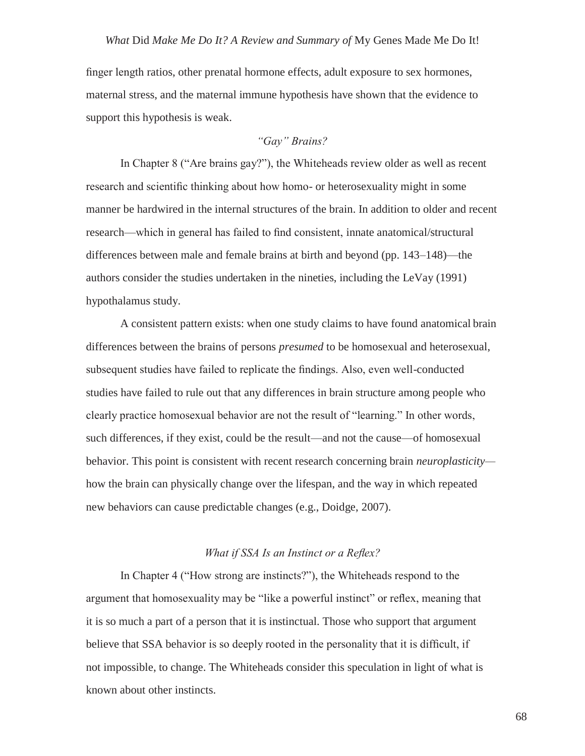finger length ratios, other prenatal hormone effects, adult exposure to sex hormones, maternal stress, and the maternal immune hypothesis have shown that the evidence to support this hypothesis is weak.

#### *"Gay" Brains?*

In Chapter 8 ("Are brains gay?"), the Whiteheads review older as well as recent research and scientific thinking about how homo- or heterosexuality might in some manner be hardwired in the internal structures of the brain. In addition to older and recent research—which in general has failed to find consistent, innate anatomical/structural differences between male and female brains at birth and beyond (pp. 143–148)—the authors consider the studies undertaken in the nineties, including the LeVay (1991) hypothalamus study.

A consistent pattern exists: when one study claims to have found anatomical brain differences between the brains of persons *presumed* to be homosexual and heterosexual, subsequent studies have failed to replicate the findings. Also, even well-conducted studies have failed to rule out that any differences in brain structure among people who clearly practice homosexual behavior are not the result of "learning." In other words, such differences, if they exist, could be the result—and not the cause—of homosexual behavior. This point is consistent with recent research concerning brain *neuroplasticity* how the brain can physically change over the lifespan, and the way in which repeated new behaviors can cause predictable changes (e.g., Doidge, 2007).

#### *What if SSA Is an Instinct or a Reflex?*

In Chapter 4 ("How strong are instincts?"), the Whiteheads respond to the argument that homosexuality may be "like a powerful instinct" or reflex, meaning that it is so much a part of a person that it is instinctual. Those who support that argument believe that SSA behavior is so deeply rooted in the personality that it is difficult, if not impossible, to change. The Whiteheads consider this speculation in light of what is known about other instincts.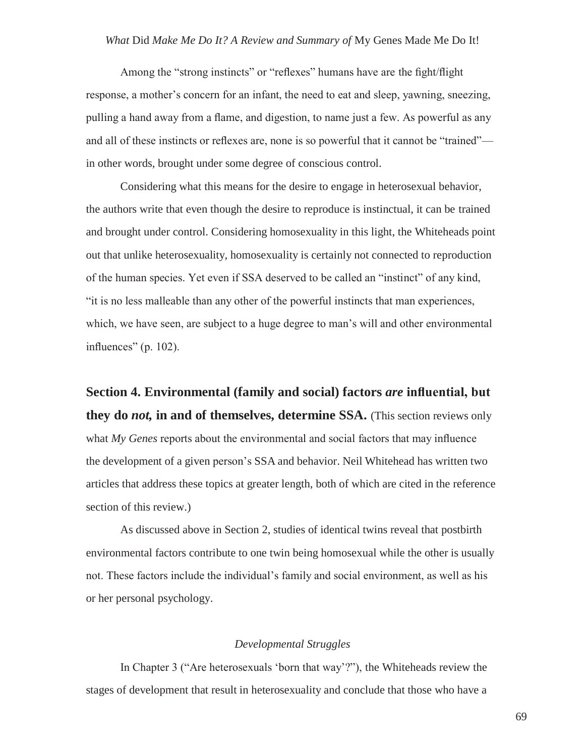Among the "strong instincts" or "reflexes" humans have are the fight/flight response, a mother's concern for an infant, the need to eat and sleep, yawning, sneezing, pulling a hand away from a flame, and digestion, to name just a few. As powerful as any and all of these instincts or reflexes are, none is so powerful that it cannot be "trained" in other words, brought under some degree of conscious control.

Considering what this means for the desire to engage in heterosexual behavior, the authors write that even though the desire to reproduce is instinctual, it can be trained and brought under control. Considering homosexuality in this light, the Whiteheads point out that unlike heterosexuality, homosexuality is certainly not connected to reproduction of the human species. Yet even if SSA deserved to be called an "instinct" of any kind, "it is no less malleable than any other of the powerful instincts that man experiences, which, we have seen, are subject to a huge degree to man's will and other environmental influences" (p. 102).

**Section 4. Environmental (family and social) factors** *are* **influential, but they do** *not,* **in and of themselves, determine SSA.** (This section reviews only what *My Genes* reports about the environmental and social factors that may influence the development of a given person's SSA and behavior. Neil Whitehead has written two articles that address these topics at greater length, both of which are cited in the reference section of this review.)

As discussed above in Section 2, studies of identical twins reveal that postbirth environmental factors contribute to one twin being homosexual while the other is usually not. These factors include the individual's family and social environment, as well as his or her personal psychology.

#### *Developmental Struggles*

In Chapter 3 ("Are heterosexuals 'born that way'?"), the Whiteheads review the stages of development that result in heterosexuality and conclude that those who have a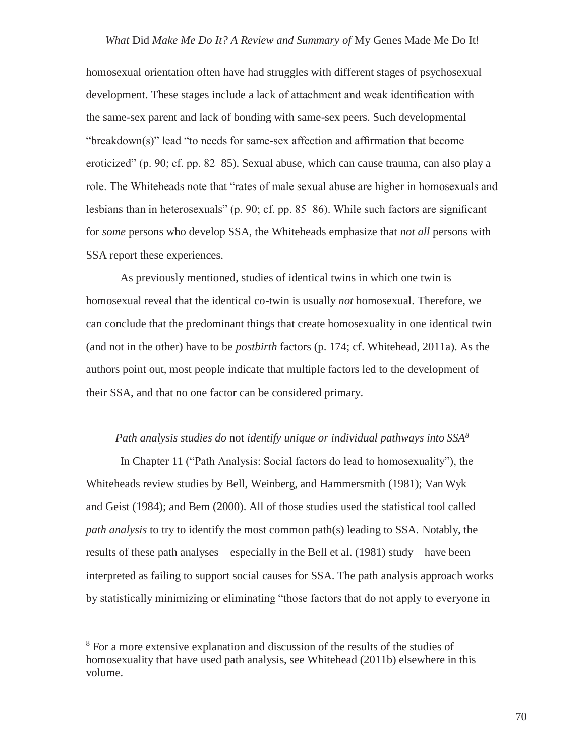#### *What* Did *Make Me Do It? A Review and Summary of* My Genes Made Me Do It!

homosexual orientation often have had struggles with different stages of psychosexual development. These stages include a lack of attachment and weak identification with the same-sex parent and lack of bonding with same-sex peers. Such developmental "breakdown(s)" lead "to needs for same-sex affection and affirmation that become eroticized" (p. 90; cf. pp. 82–85). Sexual abuse, which can cause trauma, can also play a role. The Whiteheads note that "rates of male sexual abuse are higher in homosexuals and lesbians than in heterosexuals" (p. 90; cf. pp. 85–86). While such factors are significant for *some* persons who develop SSA, the Whiteheads emphasize that *not all* persons with SSA report these experiences.

As previously mentioned, studies of identical twins in which one twin is homosexual reveal that the identical co-twin is usually *not* homosexual. Therefore, we can conclude that the predominant things that create homosexuality in one identical twin (and not in the other) have to be *postbirth* factors (p. 174; cf. Whitehead, 2011a). As the authors point out, most people indicate that multiple factors led to the development of their SSA, and that no one factor can be considered primary.

### *Path analysis studies do* not *identify unique or individual pathways into SSA<sup>8</sup>*

In Chapter 11 ("Path Analysis: Social factors do lead to homosexuality"), the Whiteheads review studies by Bell, Weinberg, and Hammersmith (1981); Van Wyk and Geist (1984); and Bem (2000). All of those studies used the statistical tool called *path analysis* to try to identify the most common path(s) leading to SSA. Notably, the results of these path analyses—especially in the Bell et al. (1981) study—have been interpreted as failing to support social causes for SSA. The path analysis approach works by statistically minimizing or eliminating "those factors that do not apply to everyone in

<sup>8</sup> For a more extensive explanation and discussion of the results of the studies of homosexuality that have used path analysis, see Whitehead (2011b) elsewhere in this volume.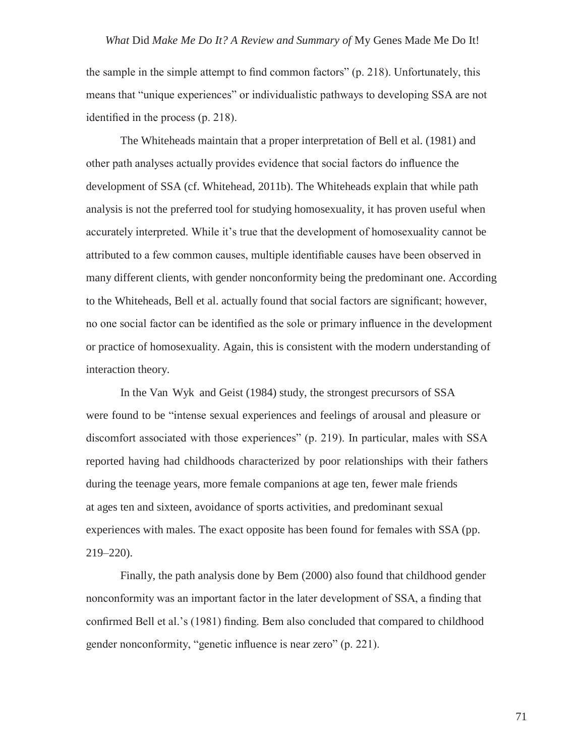the sample in the simple attempt to find common factors" (p. 218). Unfortunately, this means that "unique experiences" or individualistic pathways to developing SSA are not identified in the process (p. 218).

The Whiteheads maintain that a proper interpretation of Bell et al. (1981) and other path analyses actually provides evidence that social factors do influence the development of SSA (cf. Whitehead, 2011b). The Whiteheads explain that while path analysis is not the preferred tool for studying homosexuality, it has proven useful when accurately interpreted. While it's true that the development of homosexuality cannot be attributed to a few common causes, multiple identifiable causes have been observed in many different clients, with gender nonconformity being the predominant one. According to the Whiteheads, Bell et al. actually found that social factors are significant; however, no one social factor can be identified as the sole or primary influence in the development or practice of homosexuality. Again, this is consistent with the modern understanding of interaction theory.

In the Van Wyk and Geist (1984) study, the strongest precursors of SSA were found to be "intense sexual experiences and feelings of arousal and pleasure or discomfort associated with those experiences" (p. 219). In particular, males with SSA reported having had childhoods characterized by poor relationships with their fathers during the teenage years, more female companions at age ten, fewer male friends at ages ten and sixteen, avoidance of sports activities, and predominant sexual experiences with males. The exact opposite has been found for females with SSA (pp. 219–220).

Finally, the path analysis done by Bem (2000) also found that childhood gender nonconformity was an important factor in the later development of SSA, a finding that confirmed Bell et al.'s (1981) finding. Bem also concluded that compared to childhood gender nonconformity, "genetic influence is near zero" (p. 221).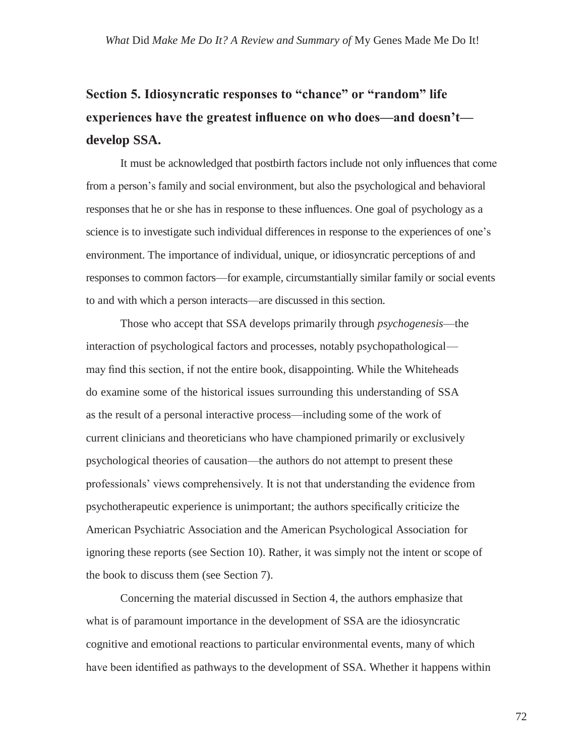# **Section 5. Idiosyncratic responses to "chance" or "random" life experiences have the greatest influence on who does—and doesn't develop SSA.**

It must be acknowledged that postbirth factors include not only influences that come from a person's family and social environment, but also the psychological and behavioral responses that he or she has in response to these influences. One goal of psychology as a science is to investigate such individual differences in response to the experiences of one's environment. The importance of individual, unique, or idiosyncratic perceptions of and responses to common factors—for example, circumstantially similar family or social events to and with which a person interacts—are discussed in this section.

Those who accept that SSA develops primarily through *psychogenesis*—the interaction of psychological factors and processes, notably psychopathological may find this section, if not the entire book, disappointing. While the Whiteheads do examine some of the historical issues surrounding this understanding of SSA as the result of a personal interactive process—including some of the work of current clinicians and theoreticians who have championed primarily or exclusively psychological theories of causation—the authors do not attempt to present these professionals' views comprehensively. It is not that understanding the evidence from psychotherapeutic experience is unimportant; the authors specifically criticize the American Psychiatric Association and the American Psychological Association for ignoring these reports (see Section 10). Rather, it was simply not the intent or scope of the book to discuss them (see Section 7).

Concerning the material discussed in Section 4, the authors emphasize that what is of paramount importance in the development of SSA are the idiosyncratic cognitive and emotional reactions to particular environmental events, many of which have been identified as pathways to the development of SSA. Whether it happens within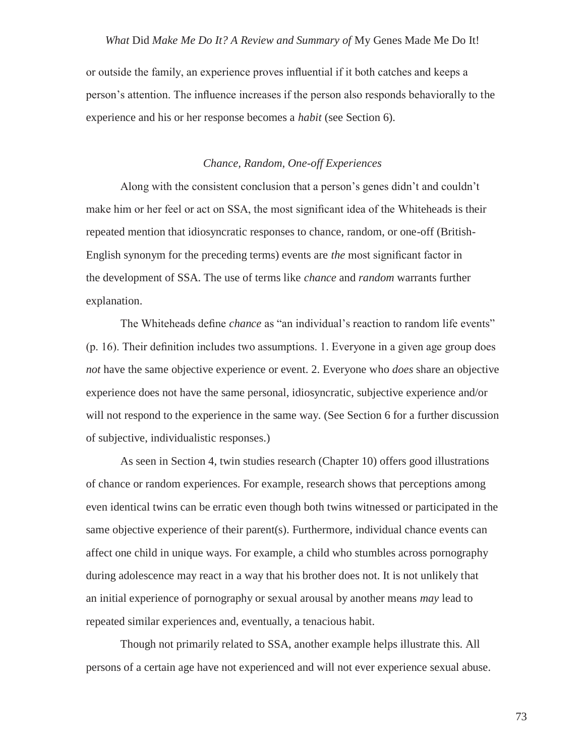or outside the family, an experience proves influential if it both catches and keeps a person's attention. The influence increases if the person also responds behaviorally to the experience and his or her response becomes a *habit* (see Section 6).

#### *Chance, Random, One-off Experiences*

Along with the consistent conclusion that a person's genes didn't and couldn't make him or her feel or act on SSA, the most significant idea of the Whiteheads is their repeated mention that idiosyncratic responses to chance, random, or one-off (British-English synonym for the preceding terms) events are *the* most significant factor in the development of SSA. The use of terms like *chance* and *random* warrants further explanation.

The Whiteheads define *chance* as "an individual's reaction to random life events" (p. 16). Their definition includes two assumptions. 1. Everyone in a given age group does *not* have the same objective experience or event. 2. Everyone who *does* share an objective experience does not have the same personal, idiosyncratic, subjective experience and/or will not respond to the experience in the same way. (See Section 6 for a further discussion of subjective, individualistic responses.)

As seen in Section 4, twin studies research (Chapter 10) offers good illustrations of chance or random experiences. For example, research shows that perceptions among even identical twins can be erratic even though both twins witnessed or participated in the same objective experience of their parent(s). Furthermore, individual chance events can affect one child in unique ways. For example, a child who stumbles across pornography during adolescence may react in a way that his brother does not. It is not unlikely that an initial experience of pornography or sexual arousal by another means *may* lead to repeated similar experiences and, eventually, a tenacious habit.

Though not primarily related to SSA, another example helps illustrate this. All persons of a certain age have not experienced and will not ever experience sexual abuse.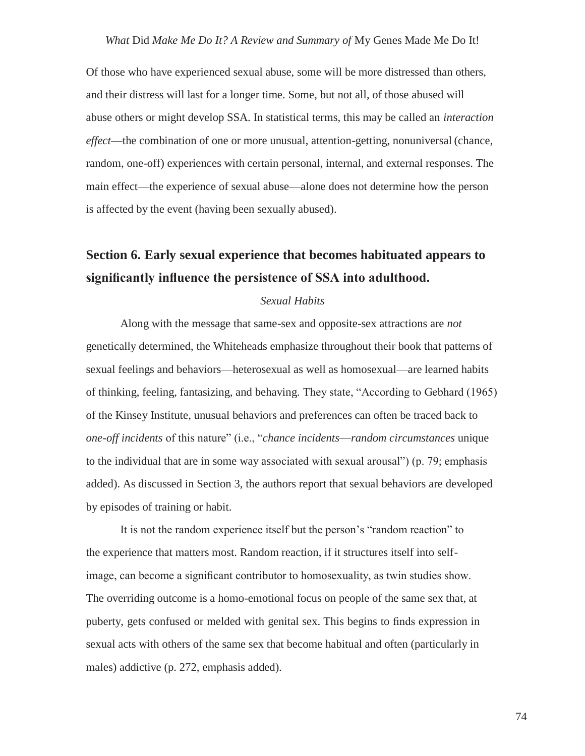Of those who have experienced sexual abuse, some will be more distressed than others, and their distress will last for a longer time. Some, but not all, of those abused will abuse others or might develop SSA. In statistical terms, this may be called an *interaction effect*—the combination of one or more unusual, attention-getting, nonuniversal (chance, random, one-off) experiences with certain personal, internal, and external responses. The main effect—the experience of sexual abuse—alone does not determine how the person is affected by the event (having been sexually abused).

## **Section 6. Early sexual experience that becomes habituated appears to significantly influence the persistence of SSA into adulthood.**

#### *Sexual Habits*

Along with the message that same-sex and opposite-sex attractions are *not*  genetically determined, the Whiteheads emphasize throughout their book that patterns of sexual feelings and behaviors—heterosexual as well as homosexual—are learned habits of thinking, feeling, fantasizing, and behaving. They state, "According to Gebhard (1965) of the Kinsey Institute, unusual behaviors and preferences can often be traced back to *one-off incidents* of this nature" (i.e., "*chance incidents*—*random circumstances* unique to the individual that are in some way associated with sexual arousal") (p. 79; emphasis added). As discussed in Section 3, the authors report that sexual behaviors are developed by episodes of training or habit.

It is not the random experience itself but the person's "random reaction" to the experience that matters most. Random reaction, if it structures itself into selfimage, can become a significant contributor to homosexuality, as twin studies show. The overriding outcome is a homo-emotional focus on people of the same sex that, at puberty, gets confused or melded with genital sex. This begins to finds expression in sexual acts with others of the same sex that become habitual and often (particularly in males) addictive (p. 272, emphasis added).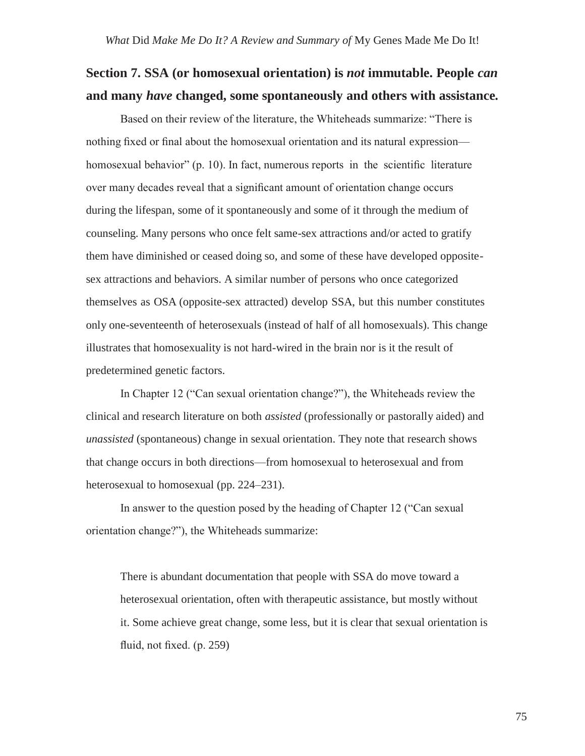## **Section 7. SSA (or homosexual orientation) is** *not* **immutable. People** *can* **and many** *have* **changed, some spontaneously and others with assistance***.*

Based on their review of the literature, the Whiteheads summarize: "There is nothing fixed or final about the homosexual orientation and its natural expression homosexual behavior" (p. 10). In fact, numerous reports in the scientific literature over many decades reveal that a significant amount of orientation change occurs during the lifespan, some of it spontaneously and some of it through the medium of counseling. Many persons who once felt same-sex attractions and/or acted to gratify them have diminished or ceased doing so, and some of these have developed oppositesex attractions and behaviors. A similar number of persons who once categorized themselves as OSA (opposite-sex attracted) develop SSA, but this number constitutes only one-seventeenth of heterosexuals (instead of half of all homosexuals). This change illustrates that homosexuality is not hard-wired in the brain nor is it the result of predetermined genetic factors.

In Chapter 12 ("Can sexual orientation change?"), the Whiteheads review the clinical and research literature on both *assisted* (professionally or pastorally aided) and *unassisted* (spontaneous) change in sexual orientation. They note that research shows that change occurs in both directions—from homosexual to heterosexual and from heterosexual to homosexual (pp. 224–231).

In answer to the question posed by the heading of Chapter 12 ("Can sexual orientation change?"), the Whiteheads summarize:

There is abundant documentation that people with SSA do move toward a heterosexual orientation, often with therapeutic assistance, but mostly without it. Some achieve great change, some less, but it is clear that sexual orientation is fluid, not fixed. (p. 259)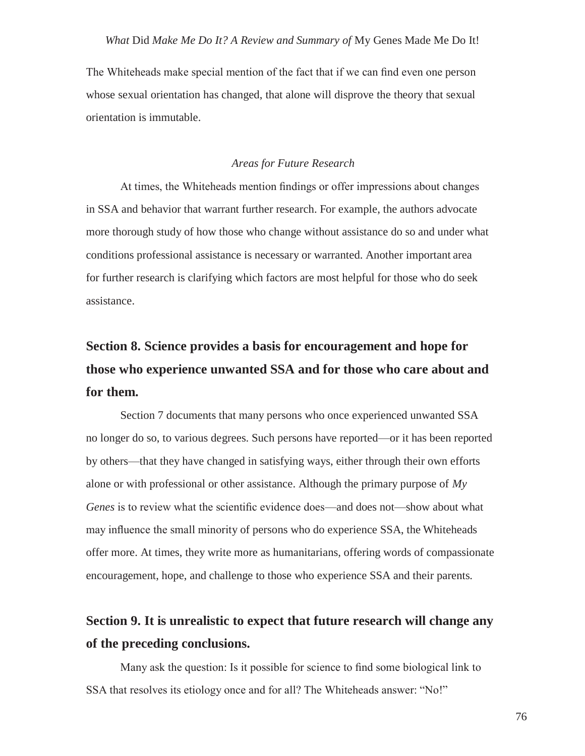The Whiteheads make special mention of the fact that if we can find even one person whose sexual orientation has changed, that alone will disprove the theory that sexual orientation is immutable.

#### *Areas for Future Research*

At times, the Whiteheads mention findings or offer impressions about changes in SSA and behavior that warrant further research. For example, the authors advocate more thorough study of how those who change without assistance do so and under what conditions professional assistance is necessary or warranted. Another important area for further research is clarifying which factors are most helpful for those who do seek assistance.

# **Section 8. Science provides a basis for encouragement and hope for those who experience unwanted SSA and for those who care about and for them.**

Section 7 documents that many persons who once experienced unwanted SSA no longer do so, to various degrees. Such persons have reported—or it has been reported by others—that they have changed in satisfying ways, either through their own efforts alone or with professional or other assistance. Although the primary purpose of *My Genes* is to review what the scientific evidence does—and does not—show about what may influence the small minority of persons who do experience SSA, the Whiteheads offer more. At times, they write more as humanitarians, offering words of compassionate encouragement, hope, and challenge to those who experience SSA and their parents.

## **Section 9. It is unrealistic to expect that future research will change any of the preceding conclusions.**

Many ask the question: Is it possible for science to find some biological link to SSA that resolves its etiology once and for all? The Whiteheads answer: "No!"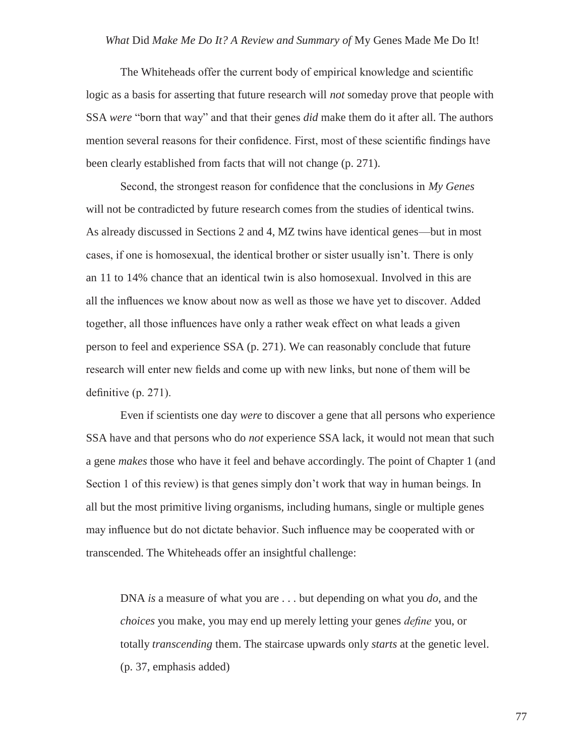The Whiteheads offer the current body of empirical knowledge and scientific logic as a basis for asserting that future research will *not* someday prove that people with SSA *were* "born that way" and that their genes *did* make them do it after all. The authors mention several reasons for their confidence. First, most of these scientific findings have been clearly established from facts that will not change (p. 271).

Second, the strongest reason for confidence that the conclusions in *My Genes*  will not be contradicted by future research comes from the studies of identical twins. As already discussed in Sections 2 and 4, MZ twins have identical genes—but in most cases, if one is homosexual, the identical brother or sister usually isn't. There is only an 11 to 14% chance that an identical twin is also homosexual. Involved in this are all the influences we know about now as well as those we have yet to discover. Added together, all those influences have only a rather weak effect on what leads a given person to feel and experience SSA (p. 271). We can reasonably conclude that future research will enter new fields and come up with new links, but none of them will be definitive (p. 271).

Even if scientists one day *were* to discover a gene that all persons who experience SSA have and that persons who do *not* experience SSA lack, it would not mean that such a gene *makes* those who have it feel and behave accordingly. The point of Chapter 1 (and Section 1 of this review) is that genes simply don't work that way in human beings. In all but the most primitive living organisms, including humans, single or multiple genes may influence but do not dictate behavior. Such influence may be cooperated with or transcended. The Whiteheads offer an insightful challenge:

DNA *is* a measure of what you are . . . but depending on what you *do*, and the *choices* you make, you may end up merely letting your genes *define* you, or totally *transcending* them. The staircase upwards only *starts* at the genetic level. (p. 37, emphasis added)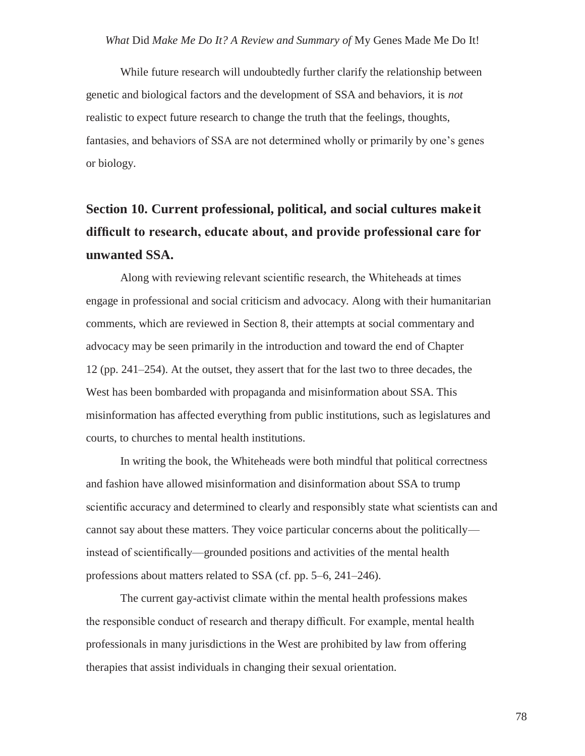While future research will undoubtedly further clarify the relationship between genetic and biological factors and the development of SSA and behaviors, it is *not*  realistic to expect future research to change the truth that the feelings, thoughts, fantasies, and behaviors of SSA are not determined wholly or primarily by one's genes or biology.

# **Section 10. Current professional, political, and social cultures makeit difficult to research, educate about, and provide professional care for unwanted SSA.**

Along with reviewing relevant scientific research, the Whiteheads at times engage in professional and social criticism and advocacy. Along with their humanitarian comments, which are reviewed in Section 8, their attempts at social commentary and advocacy may be seen primarily in the introduction and toward the end of Chapter 12 (pp. 241–254). At the outset, they assert that for the last two to three decades, the West has been bombarded with propaganda and misinformation about SSA. This misinformation has affected everything from public institutions, such as legislatures and courts, to churches to mental health institutions.

In writing the book, the Whiteheads were both mindful that political correctness and fashion have allowed misinformation and disinformation about SSA to trump scientific accuracy and determined to clearly and responsibly state what scientists can and cannot say about these matters. They voice particular concerns about the politically instead of scientifically—grounded positions and activities of the mental health professions about matters related to SSA (cf. pp. 5–6, 241–246).

The current gay-activist climate within the mental health professions makes the responsible conduct of research and therapy difficult. For example, mental health professionals in many jurisdictions in the West are prohibited by law from offering therapies that assist individuals in changing their sexual orientation.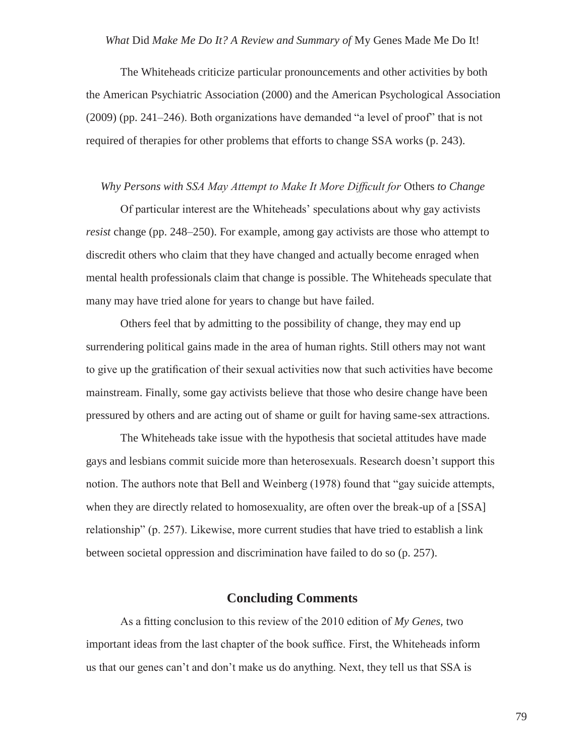The Whiteheads criticize particular pronouncements and other activities by both the American Psychiatric Association (2000) and the American Psychological Association (2009) (pp. 241–246). Both organizations have demanded "a level of proof" that is not required of therapies for other problems that efforts to change SSA works (p. 243).

#### *Why Persons with SSA May Attempt to Make It More Difficult for* Others *to Change*

Of particular interest are the Whiteheads' speculations about why gay activists *resist* change (pp. 248–250). For example, among gay activists are those who attempt to discredit others who claim that they have changed and actually become enraged when mental health professionals claim that change is possible. The Whiteheads speculate that many may have tried alone for years to change but have failed.

Others feel that by admitting to the possibility of change, they may end up surrendering political gains made in the area of human rights. Still others may not want to give up the gratification of their sexual activities now that such activities have become mainstream. Finally, some gay activists believe that those who desire change have been pressured by others and are acting out of shame or guilt for having same-sex attractions.

The Whiteheads take issue with the hypothesis that societal attitudes have made gays and lesbians commit suicide more than heterosexuals. Research doesn't support this notion. The authors note that Bell and Weinberg (1978) found that "gay suicide attempts, when they are directly related to homosexuality, are often over the break-up of a [SSA] relationship" (p. 257). Likewise, more current studies that have tried to establish a link between societal oppression and discrimination have failed to do so (p. 257).

### **Concluding Comments**

As a fitting conclusion to this review of the 2010 edition of *My Genes,* two important ideas from the last chapter of the book suffice. First, the Whiteheads inform us that our genes can't and don't make us do anything. Next, they tell us that SSA is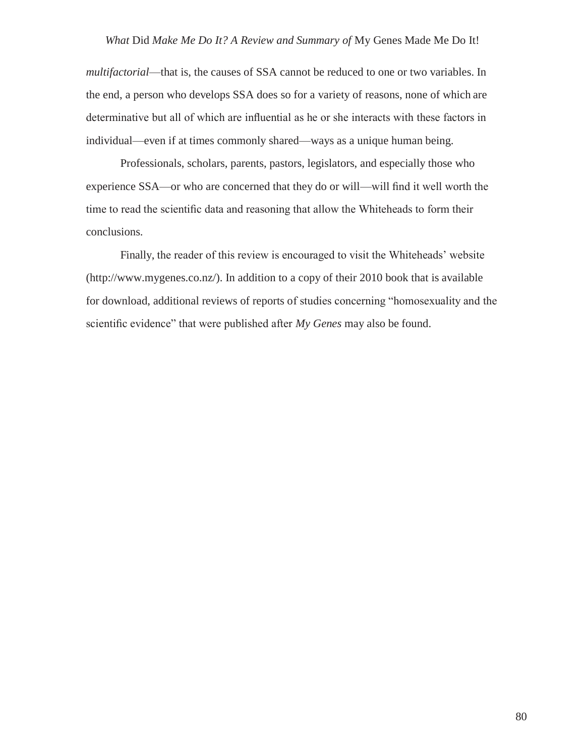*multifactorial*—that is, the causes of SSA cannot be reduced to one or two variables. In the end, a person who develops SSA does so for a variety of reasons, none of which are determinative but all of which are influential as he or she interacts with these factors in individual—even if at times commonly shared—ways as a unique human being.

Professionals, scholars, parents, pastors, legislators, and especially those who experience SSA—or who are concerned that they do or will—will find it well worth the time to read the scientific data and reasoning that allow the Whiteheads to form their conclusions.

Finally, the reader of this review is encouraged to visit the Whiteheads' website [\(http://www.mygenes.co.nz/\).](http://www.mygenes.co.nz/)) In addition to a copy of their 2010 book that is available for download, additional reviews of reports of studies concerning "homosexuality and the scientific evidence" that were published after *My Genes* may also be found.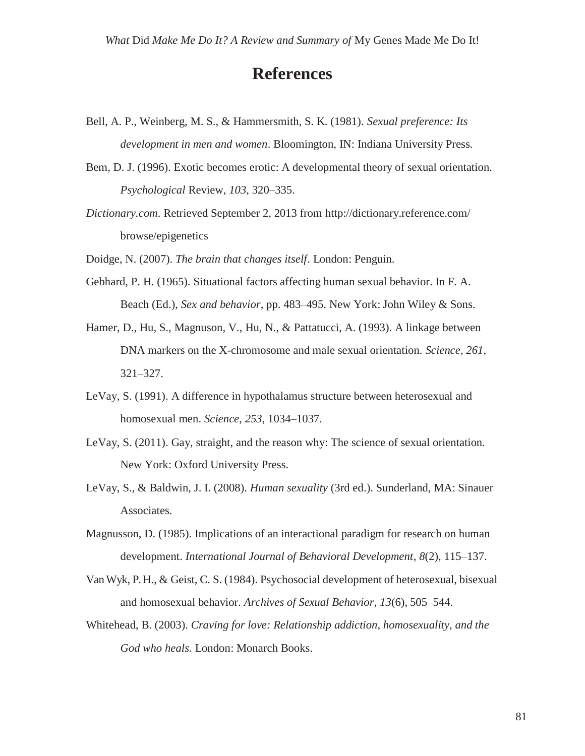## **References**

- Bell, A. P., Weinberg, M. S., & Hammersmith, S. K. (1981). *Sexual preference: Its development in men and women*. Bloomington, IN: Indiana University Press.
- Bem, D. J. (1996). Exotic becomes erotic: A developmental theory of sexual orientation. *Psychological* Review, *103*, 320–335.
- *Dictionary.com*. Retrieved September 2, 2013 from<http://dictionary.reference.com/> browse/epigenetics

Doidge, N. (2007). *The brain that changes itself*. London: Penguin.

- Gebhard, P. H. (1965). Situational factors affecting human sexual behavior. In F. A. Beach (Ed.), *Sex and behavior*, pp. 483–495. New York: John Wiley & Sons.
- Hamer, D., Hu, S., Magnuson, V., Hu, N., & Pattatucci, A. (1993). A linkage between DNA markers on the X-chromosome and male sexual orientation. *Science, 261*, 321–327.
- LeVay, S. (1991). A difference in hypothalamus structure between heterosexual and homosexual men. *Science*, *253*, 1034–1037.
- LeVay, S. (2011). Gay, straight, and the reason why: The science of sexual orientation. New York: Oxford University Press.
- LeVay, S., & Baldwin, J. I. (2008). *Human sexuality* (3rd ed.). Sunderland, MA: Sinauer Associates.
- Magnusson, D. (1985). Implications of an interactional paradigm for research on human development. *International Journal of Behavioral Development*, *8*(2), 115–137.
- VanWyk, P. H., & Geist, C. S. (1984). Psychosocial development of heterosexual, bisexual and homosexual behavior. *Archives of Sexual Behavior*, *13*(6), 505–544.
- Whitehead, B. (2003). *Craving for love: Relationship addiction, homosexuality, and the God who heals.* London: Monarch Books.